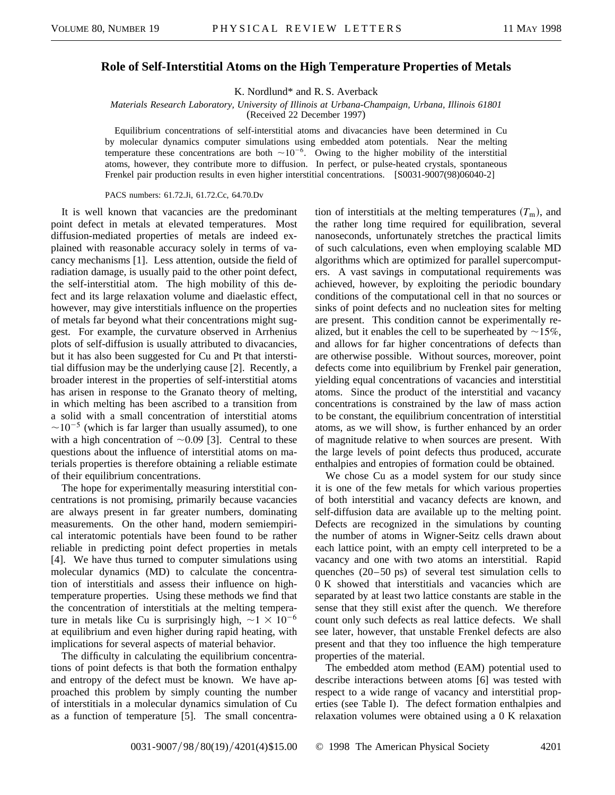## **Role of Self-Interstitial Atoms on the High Temperature Properties of Metals**

K. Nordlund\* and R. S. Averback

*Materials Research Laboratory, University of Illinois at Urbana-Champaign, Urbana, Illinois 61801*

(Received 22 December 1997)

Equilibrium concentrations of self-interstitial atoms and divacancies have been determined in Cu by molecular dynamics computer simulations using embedded atom potentials. Near the melting temperature these concentrations are both  $\sim 10^{-6}$ . Owing to the higher mobility of the interstitial atoms, however, they contribute more to diffusion. In perfect, or pulse-heated crystals, spontaneous Frenkel pair production results in even higher interstitial concentrations. [S0031-9007(98)06040-2]

PACS numbers: 61.72.Ji, 61.72.Cc, 64.70.Dv

It is well known that vacancies are the predominant point defect in metals at elevated temperatures. Most diffusion-mediated properties of metals are indeed explained with reasonable accuracy solely in terms of vacancy mechanisms [1]. Less attention, outside the field of radiation damage, is usually paid to the other point defect, the self-interstitial atom. The high mobility of this defect and its large relaxation volume and diaelastic effect, however, may give interstitials influence on the properties of metals far beyond what their concentrations might suggest. For example, the curvature observed in Arrhenius plots of self-diffusion is usually attributed to divacancies, but it has also been suggested for Cu and Pt that interstitial diffusion may be the underlying cause [2]. Recently, a broader interest in the properties of self-interstitial atoms has arisen in response to the Granato theory of melting, in which melting has been ascribed to a transition from a solid with a small concentration of interstitial atoms  $\sim$ 10<sup>-5</sup> (which is far larger than usually assumed), to one with a high concentration of  $\sim 0.09$  [3]. Central to these questions about the influence of interstitial atoms on materials properties is therefore obtaining a reliable estimate of their equilibrium concentrations.

The hope for experimentally measuring interstitial concentrations is not promising, primarily because vacancies are always present in far greater numbers, dominating measurements. On the other hand, modern semiempirical interatomic potentials have been found to be rather reliable in predicting point defect properties in metals [4]. We have thus turned to computer simulations using molecular dynamics (MD) to calculate the concentration of interstitials and assess their influence on hightemperature properties. Using these methods we find that the concentration of interstitials at the melting temperature in metals like Cu is surprisingly high,  $\sim$ 1  $\times$  10<sup>-6</sup> at equilibrium and even higher during rapid heating, with implications for several aspects of material behavior.

The difficulty in calculating the equilibrium concentrations of point defects is that both the formation enthalpy and entropy of the defect must be known. We have approached this problem by simply counting the number of interstitials in a molecular dynamics simulation of Cu as a function of temperature [5]. The small concentra-

tion of interstitials at the melting temperatures  $(T<sub>m</sub>)$ , and the rather long time required for equilibration, several nanoseconds, unfortunately stretches the practical limits of such calculations, even when employing scalable MD algorithms which are optimized for parallel supercomputers. A vast savings in computational requirements was achieved, however, by exploiting the periodic boundary conditions of the computational cell in that no sources or sinks of point defects and no nucleation sites for melting are present. This condition cannot be experimentally realized, but it enables the cell to be superheated by  $\sim$ 15%, and allows for far higher concentrations of defects than are otherwise possible. Without sources, moreover, point defects come into equilibrium by Frenkel pair generation, yielding equal concentrations of vacancies and interstitial atoms. Since the product of the interstitial and vacancy concentrations is constrained by the law of mass action to be constant, the equilibrium concentration of interstitial atoms, as we will show, is further enhanced by an order of magnitude relative to when sources are present. With the large levels of point defects thus produced, accurate enthalpies and entropies of formation could be obtained.

We chose Cu as a model system for our study since it is one of the few metals for which various properties of both interstitial and vacancy defects are known, and self-diffusion data are available up to the melting point. Defects are recognized in the simulations by counting the number of atoms in Wigner-Seitz cells drawn about each lattice point, with an empty cell interpreted to be a vacancy and one with two atoms an interstitial. Rapid quenches (20–50 ps) of several test simulation cells to 0 K showed that interstitials and vacancies which are separated by at least two lattice constants are stable in the sense that they still exist after the quench. We therefore count only such defects as real lattice defects. We shall see later, however, that unstable Frenkel defects are also present and that they too influence the high temperature properties of the material.

The embedded atom method (EAM) potential used to describe interactions between atoms [6] was tested with respect to a wide range of vacancy and interstitial properties (see Table I). The defect formation enthalpies and relaxation volumes were obtained using a 0 K relaxation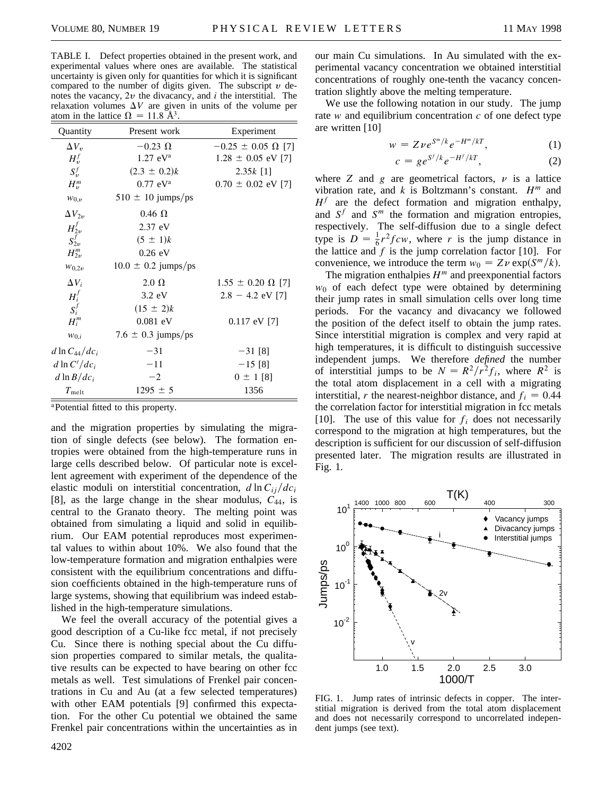TABLE I. Defect properties obtained in the present work, and experimental values where ones are available. The statistical uncertainty is given only for quantities for which it is significant compared to the number of digits given. The subscript  $v$  denotes the vacancy, 2y the divacancy, and *i* the interstitial. The relaxation volumes  $\Delta V$  are given in units of the volume per atom in the lattice  $\Omega = 11.8 \text{ Å}^3$ .

| Quantity            | Present work            | Experiment                  |
|---------------------|-------------------------|-----------------------------|
| $\Delta V_{\nu}$    | $-0.23 \Omega$          | $-0.25 \pm 0.05 \Omega$ [7] |
| $H_v^f$             | $1.27$ eV <sup>a</sup>  | $1.28 \pm 0.05$ eV [7]      |
| $S_{\nu}^f$         | $(2.3 \pm 0.2)k$        | $2.35k$ [1]                 |
| $H_v^m$             | $0.77$ eV <sup>a</sup>  | $0.70 \pm 0.02$ eV [7]      |
| $w_{0,v}$           | $510 \pm 10$ jumps/ps   |                             |
| $\Delta V_{2v}$     | $0.46 \Omega$           |                             |
| $H_{2\nu}^f$        | $2.37$ eV               |                             |
| $S_{2v}^f$          | $(5 \pm 1)k$            |                             |
| $H_{2n}^m$          | $0.26$ eV               |                             |
| $w_{0,2v}$          | $10.0 \pm 0.2$ jumps/ps |                             |
| $\Delta V_i$        | $2.0 \Omega$            | $1.55 \pm 0.20 \Omega$ [7]  |
| $H_i^f$             | $3.2 \text{ eV}$        | $2.8 - 4.2$ eV [7]          |
| $S_i^f$             | $(15 \pm 2)k$           |                             |
| $H_i^m$             | $0.081$ eV              | $0.117$ eV [7]              |
| $w_{0,i}$           | $7.6 \pm 0.3$ jumps/ps  |                             |
| $d \ln C_{44}/dc_i$ | $-31$                   | $-31$ [8]                   |
| $d \ln C'/dc_i$     | $-11$                   | $-15$ [8]                   |
| $d \ln B / dc_i$    | $-2$                    | $0 \pm 1$ [8]               |
| $T_{\rm melt}$      | $1295 \pm 5$            | 1356                        |

<sup>a</sup>Potential fitted to this property.

and the migration properties by simulating the migration of single defects (see below). The formation entropies were obtained from the high-temperature runs in large cells described below. Of particular note is excellent agreement with experiment of the dependence of the elastic moduli on interstitial concentration,  $d \ln C_{ij}/dc_i$ [8], as the large change in the shear modulus, *C*44, is central to the Granato theory. The melting point was obtained from simulating a liquid and solid in equilibrium. Our EAM potential reproduces most experimental values to within about 10%. We also found that the low-temperature formation and migration enthalpies were consistent with the equilibrium concentrations and diffusion coefficients obtained in the high-temperature runs of large systems, showing that equilibrium was indeed established in the high-temperature simulations.

We feel the overall accuracy of the potential gives a good description of a Cu-like fcc metal, if not precisely Cu. Since there is nothing special about the Cu diffusion properties compared to similar metals, the qualitative results can be expected to have bearing on other fcc metals as well. Test simulations of Frenkel pair concentrations in Cu and Au (at a few selected temperatures) with other EAM potentials [9] confirmed this expectation. For the other Cu potential we obtained the same Frenkel pair concentrations within the uncertainties as in

our main Cu simulations. In Au simulated with the experimental vacancy concentration we obtained interstitial concentrations of roughly one-tenth the vacancy concentration slightly above the melting temperature.

We use the following notation in our study. The jump rate *w* and equilibrium concentration *c* of one defect type are written [10]

$$
w = Z \nu e^{S^m/k} e^{-H^m/kT}, \qquad (1)
$$

$$
c = g e^{S^f/k} e^{-H^f/kT}, \qquad (2)
$$

where  $Z$  and  $g$  are geometrical factors,  $\nu$  is a lattice vibration rate, and *k* is Boltzmann's constant. *H<sup>m</sup>* and  $H<sup>f</sup>$  are the defect formation and migration enthalpy, and  $S<sup>f</sup>$  and  $S<sup>m</sup>$  the formation and migration entropies, respectively. The self-diffusion due to a single defect type is  $D = \frac{1}{6}r^2 f c w$ , where *r* is the jump distance in the lattice and *f* is the jump correlation factor [10]. For convenience, we introduce the term  $w_0 = Z \nu \exp(S^m/k)$ .

The migration enthalpies *H<sup>m</sup>* and preexponential factors  $w<sub>0</sub>$  of each defect type were obtained by determining their jump rates in small simulation cells over long time periods. For the vacancy and divacancy we followed the position of the defect itself to obtain the jump rates. Since interstitial migration is complex and very rapid at high temperatures, it is difficult to distinguish successive independent jumps. We therefore *defined* the number of interstitial jumps to be  $N = R^2/r^2f_i$ , where  $R^2$  is the total atom displacement in a cell with a migrating interstitial, *r* the nearest-neighbor distance, and  $f_i = 0.44$ the correlation factor for interstitial migration in fcc metals [10]. The use of this value for  $f_i$  does not necessarily correspond to the migration at high temperatures, but the description is sufficient for our discussion of self-diffusion presented later. The migration results are illustrated in Fig. 1.



FIG. 1. Jump rates of intrinsic defects in copper. The interstitial migration is derived from the total atom displacement and does not necessarily correspond to uncorrelated independent jumps (see text).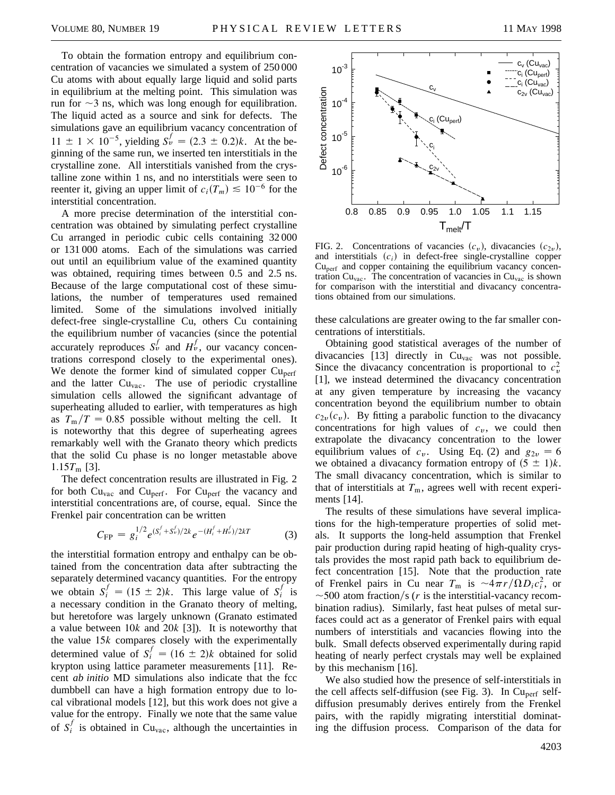To obtain the formation entropy and equilibrium concentration of vacancies we simulated a system of 250 000 Cu atoms with about equally large liquid and solid parts in equilibrium at the melting point. This simulation was run for  $\sim$ 3 ns, which was long enough for equilibration. The liquid acted as a source and sink for defects. The simulations gave an equilibrium vacancy concentration of  $11 \pm 1 \times 10^{-5}$ , yielding  $S_v^f = (2.3 \pm 0.2)k$ . At the beginning of the same run, we inserted ten interstitials in the crystalline zone. All interstitials vanished from the crystalline zone within 1 ns, and no interstitials were seen to reenter it, giving an upper limit of  $c_i(T_m) \leq 10^{-6}$  for the interstitial concentration.

A more precise determination of the interstitial concentration was obtained by simulating perfect crystalline Cu arranged in periodic cubic cells containing 32 000 or 131 000 atoms. Each of the simulations was carried out until an equilibrium value of the examined quantity was obtained, requiring times between 0.5 and 2.5 ns. Because of the large computational cost of these simulations, the number of temperatures used remained limited. Some of the simulations involved initially defect-free single-crystalline Cu, others Cu containing the equilibrium number of vacancies (since the potential accurately reproduces  $S_v^f$  and  $H_v^f$ , our vacancy concentrations correspond closely to the experimental ones). We denote the former kind of simulated copper  $Cu<sub>perf</sub>$ and the latter  $Cu<sub>vac</sub>$ . The use of periodic crystalline simulation cells allowed the significant advantage of superheating alluded to earlier, with temperatures as high as  $T_{\rm m}/T = 0.85$  possible without melting the cell. It is noteworthy that this degree of superheating agrees remarkably well with the Granato theory which predicts that the solid Cu phase is no longer metastable above 1.15*T*<sup>m</sup> [3].

The defect concentration results are illustrated in Fig. 2 for both Cu<sub>vac</sub> and Cu<sub>perf</sub>. For Cu<sub>perf</sub> the vacancy and interstitial concentrations are, of course, equal. Since the Frenkel pair concentration can be written

$$
C_{\rm FP} = g_i^{1/2} e^{(S_i^f + S_v^f)/2k} e^{-(H_i^f + H_v^f)/2kT}
$$
 (3)

the interstitial formation entropy and enthalpy can be obtained from the concentration data after subtracting the separately determined vacancy quantities. For the entropy we obtain  $S_i^f = (15 \pm 2)k$ . This large value of  $S_i^f$  is a necessary condition in the Granato theory of melting, but heretofore was largely unknown (Granato estimated a value between 10*k* and 20*k* [3]). It is noteworthy that the value 15*k* compares closely with the experimentally determined value of  $S_i^f = (16 \pm 2)k$  obtained for solid krypton using lattice parameter measurements [11]. Recent *ab initio* MD simulations also indicate that the fcc dumbbell can have a high formation entropy due to local vibrational models [12], but this work does not give a value for the entropy. Finally we note that the same value of  $S_i^f$  is obtained in Cu<sub>vac</sub>, although the uncertainties in



FIG. 2. Concentrations of vacancies  $(c_v)$ , divacancies  $(c_{2v})$ , and interstitials  $(c_i)$  in defect-free single-crystalline copper  $Cu<sub>perf</sub>$  and copper containing the equilibrium vacancy concentration  $Cu<sub>vac</sub>$ . The concentration of vacancies in  $Cu<sub>vac</sub>$  is shown for comparison with the interstitial and divacancy concentrations obtained from our simulations.

these calculations are greater owing to the far smaller concentrations of interstitials.

Obtaining good statistical averages of the number of divacancies  $[13]$  directly in  $Cu<sub>vac</sub>$  was not possible. Since the divacancy concentration is proportional to  $c_v^2$ [1], we instead determined the divacancy concentration at any given temperature by increasing the vacancy concentration beyond the equilibrium number to obtain  $c_{2y}(c_y)$ . By fitting a parabolic function to the divacancy concentrations for high values of  $c_v$ , we could then extrapolate the divacancy concentration to the lower equilibrium values of  $c_v$ . Using Eq. (2) and  $g_{2v} = 6$ we obtained a divacancy formation entropy of  $(5 \pm 1)k$ . The small divacancy concentration, which is similar to that of interstitials at  $T<sub>m</sub>$ , agrees well with recent experiments [14].

The results of these simulations have several implications for the high-temperature properties of solid metals. It supports the long-held assumption that Frenkel pair production during rapid heating of high-quality crystals provides the most rapid path back to equilibrium defect concentration [15]. Note that the production rate of Frenkel pairs in Cu near  $T_m$  is  $\sim 4\pi r/\Omega D_i c_i^2$ , or  $\sim$ 500 atom fraction/s (*r* is the interstitial-vacancy recombination radius). Similarly, fast heat pulses of metal surfaces could act as a generator of Frenkel pairs with equal numbers of interstitials and vacancies flowing into the bulk. Small defects observed experimentally during rapid heating of nearly perfect crystals may well be explained by this mechanism [16].

We also studied how the presence of self-interstitials in the cell affects self-diffusion (see Fig. 3). In  $Cu<sub>perf</sub>$  selfdiffusion presumably derives entirely from the Frenkel pairs, with the rapidly migrating interstitial dominating the diffusion process. Comparison of the data for